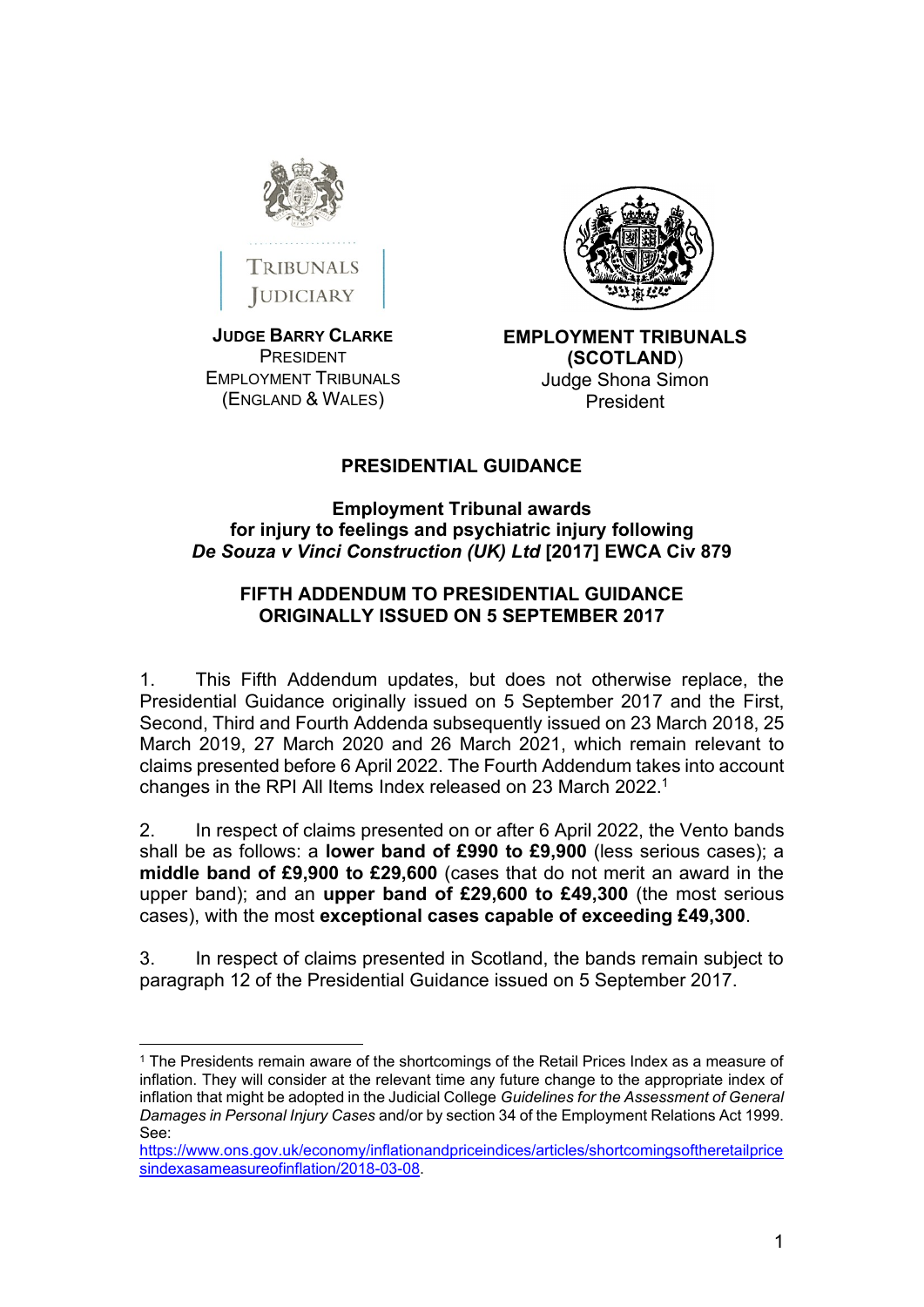



**JUDGE BARRY CLARKE** PRESIDENT EMPLOYMENT TRIBUNALS (ENGLAND & WALES)



**EMPLOYMENT TRIBUNALS (SCOTLAND**) Judge Shona Simon President

## **PRESIDENTIAL GUIDANCE**

## **Employment Tribunal awards for injury to feelings and psychiatric injury following**  *De Souza v Vinci Construction (UK) Ltd* **[2017] EWCA Civ 879**

## **FIFTH ADDENDUM TO PRESIDENTIAL GUIDANCE ORIGINALLY ISSUED ON 5 SEPTEMBER 2017**

1. This Fifth Addendum updates, but does not otherwise replace, the Presidential Guidance originally issued on 5 September 2017 and the First, Second, Third and Fourth Addenda subsequently issued on 23 March 2018, 25 March 2019, 27 March 2020 and 26 March 2021, which remain relevant to claims presented before 6 April 2022. The Fourth Addendum takes into account changes in the RPI All Items Index released on 23 March 2022.<sup>1</sup>

2. In respect of claims presented on or after 6 April 2022, the Vento bands shall be as follows: a **lower band of £990 to £9,900** (less serious cases); a **middle band of £9,900 to £29,600** (cases that do not merit an award in the upper band); and an **upper band of £29,600 to £49,300** (the most serious cases), with the most **exceptional cases capable of exceeding £49,300**.

3. In respect of claims presented in Scotland, the bands remain subject to paragraph 12 of the Presidential Guidance issued on 5 September 2017.

<sup>1</sup> The Presidents remain aware of the shortcomings of the Retail Prices Index as a measure of inflation. They will consider at the relevant time any future change to the appropriate index of inflation that might be adopted in the Judicial College *Guidelines for the Assessment of General Damages in Personal Injury Cases* and/or by section 34 of the Employment Relations Act 1999. See:

[https://www.ons.gov.uk/economy/inflationandpriceindices/articles/shortcomingsoftheretailprice](https://www.ons.gov.uk/economy/inflationandpriceindices/articles/shortcomingsoftheretailpricesindexasameasureofinflation/2018-03-08) [sindexasameasureofinflation/2018-03-08.](https://www.ons.gov.uk/economy/inflationandpriceindices/articles/shortcomingsoftheretailpricesindexasameasureofinflation/2018-03-08)